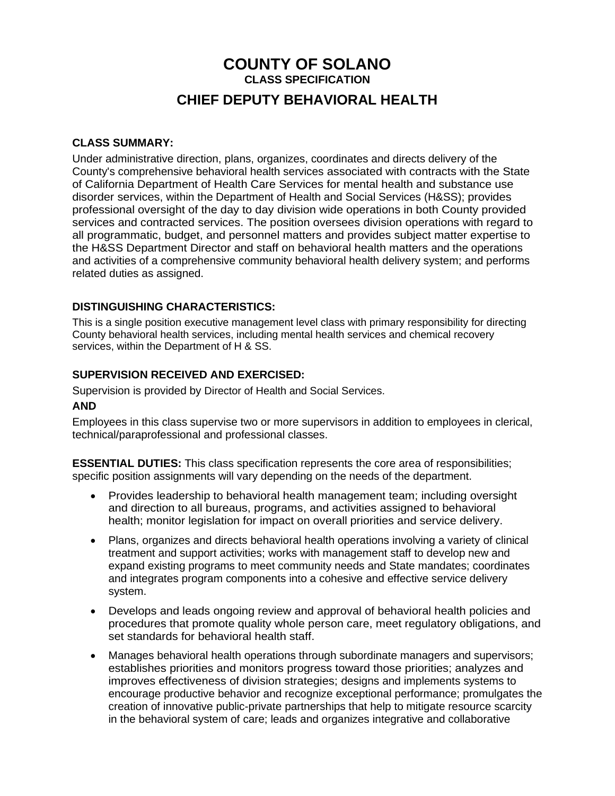# **COUNTY OF SOLANO CLASS SPECIFICATION CHIEF DEPUTY BEHAVIORAL HEALTH**

#### **CLASS SUMMARY:**

Under administrative direction, plans, organizes, coordinates and directs delivery of the County's comprehensive behavioral health services associated with contracts with the State of California Department of Health Care Services for mental health and substance use disorder services, within the Department of Health and Social Services (H&SS); provides professional oversight of the day to day division wide operations in both County provided services and contracted services. The position oversees division operations with regard to all programmatic, budget, and personnel matters and provides subject matter expertise to the H&SS Department Director and staff on behavioral health matters and the operations and activities of a comprehensive community behavioral health delivery system; and performs related duties as assigned.

## **DISTINGUISHING CHARACTERISTICS:**

This is a single position executive management level class with primary responsibility for directing County behavioral health services, including mental health services and chemical recovery services, within the Department of H & SS.

#### **SUPERVISION RECEIVED AND EXERCISED:**

Supervision is provided by Director of Health and Social Services.

#### **AND**

Employees in this class supervise two or more supervisors in addition to employees in clerical, technical/paraprofessional and professional classes.

**ESSENTIAL DUTIES:** This class specification represents the core area of responsibilities; specific position assignments will vary depending on the needs of the department.

- Provides leadership to behavioral health management team; including oversight and direction to all bureaus, programs, and activities assigned to behavioral health; monitor legislation for impact on overall priorities and service delivery.
- Plans, organizes and directs behavioral health operations involving a variety of clinical treatment and support activities; works with management staff to develop new and expand existing programs to meet community needs and State mandates; coordinates and integrates program components into a cohesive and effective service delivery system.
- Develops and leads ongoing review and approval of behavioral health policies and procedures that promote quality whole person care, meet regulatory obligations, and set standards for behavioral health staff.
- Manages behavioral health operations through subordinate managers and supervisors; establishes priorities and monitors progress toward those priorities; analyzes and improves effectiveness of division strategies; designs and implements systems to encourage productive behavior and recognize exceptional performance; promulgates the creation of innovative public-private partnerships that help to mitigate resource scarcity in the behavioral system of care; leads and organizes integrative and collaborative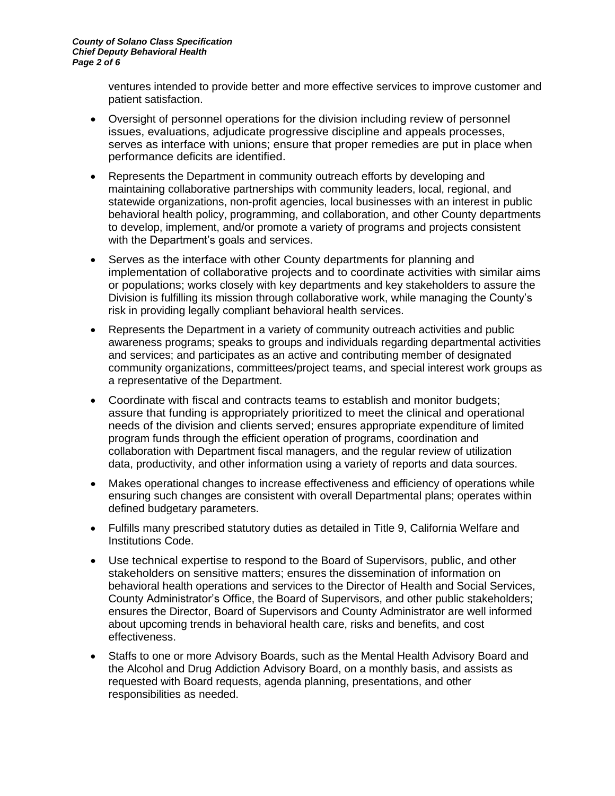ventures intended to provide better and more effective services to improve customer and patient satisfaction.

- Oversight of personnel operations for the division including review of personnel issues, evaluations, adjudicate progressive discipline and appeals processes, serves as interface with unions; ensure that proper remedies are put in place when performance deficits are identified.
- Represents the Department in community outreach efforts by developing and maintaining collaborative partnerships with community leaders, local, regional, and statewide organizations, non-profit agencies, local businesses with an interest in public behavioral health policy, programming, and collaboration, and other County departments to develop, implement, and/or promote a variety of programs and projects consistent with the Department's goals and services.
- Serves as the interface with other County departments for planning and implementation of collaborative projects and to coordinate activities with similar aims or populations; works closely with key departments and key stakeholders to assure the Division is fulfilling its mission through collaborative work, while managing the County's risk in providing legally compliant behavioral health services.
- Represents the Department in a variety of community outreach activities and public awareness programs; speaks to groups and individuals regarding departmental activities and services; and participates as an active and contributing member of designated community organizations, committees/project teams, and special interest work groups as a representative of the Department.
- Coordinate with fiscal and contracts teams to establish and monitor budgets; assure that funding is appropriately prioritized to meet the clinical and operational needs of the division and clients served; ensures appropriate expenditure of limited program funds through the efficient operation of programs, coordination and collaboration with Department fiscal managers, and the regular review of utilization data, productivity, and other information using a variety of reports and data sources.
- Makes operational changes to increase effectiveness and efficiency of operations while ensuring such changes are consistent with overall Departmental plans; operates within defined budgetary parameters.
- Fulfills many prescribed statutory duties as detailed in Title 9, California Welfare and Institutions Code.
- Use technical expertise to respond to the Board of Supervisors, public, and other stakeholders on sensitive matters; ensures the dissemination of information on behavioral health operations and services to the Director of Health and Social Services, County Administrator's Office, the Board of Supervisors, and other public stakeholders; ensures the Director, Board of Supervisors and County Administrator are well informed about upcoming trends in behavioral health care, risks and benefits, and cost effectiveness.
- Staffs to one or more Advisory Boards, such as the Mental Health Advisory Board and the Alcohol and Drug Addiction Advisory Board, on a monthly basis, and assists as requested with Board requests, agenda planning, presentations, and other responsibilities as needed.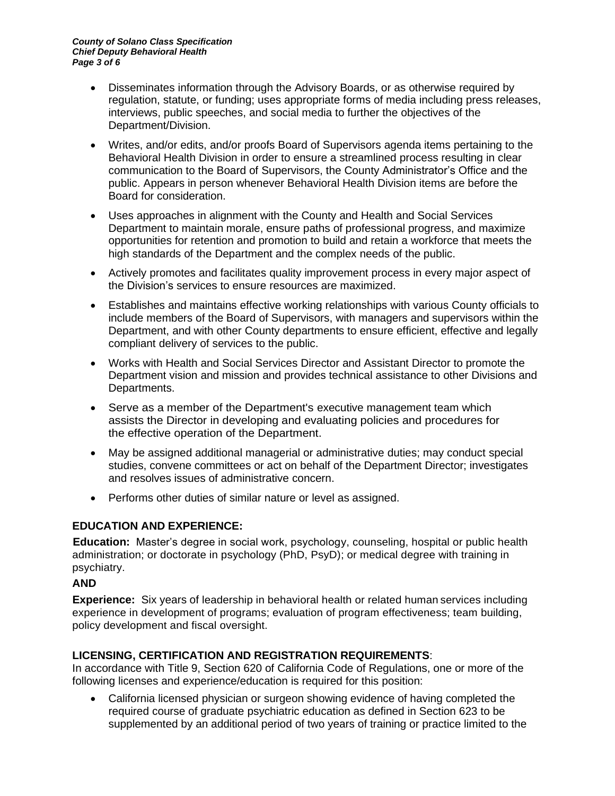- Disseminates information through the Advisory Boards, or as otherwise required by regulation, statute, or funding; uses appropriate forms of media including press releases, interviews, public speeches, and social media to further the objectives of the Department/Division.
- Writes, and/or edits, and/or proofs Board of Supervisors agenda items pertaining to the Behavioral Health Division in order to ensure a streamlined process resulting in clear communication to the Board of Supervisors, the County Administrator's Office and the public. Appears in person whenever Behavioral Health Division items are before the Board for consideration.
- Uses approaches in alignment with the County and Health and Social Services Department to maintain morale, ensure paths of professional progress, and maximize opportunities for retention and promotion to build and retain a workforce that meets the high standards of the Department and the complex needs of the public.
- Actively promotes and facilitates quality improvement process in every major aspect of the Division's services to ensure resources are maximized.
- Establishes and maintains effective working relationships with various County officials to include members of the Board of Supervisors, with managers and supervisors within the Department, and with other County departments to ensure efficient, effective and legally compliant delivery of services to the public.
- Works with Health and Social Services Director and Assistant Director to promote the Department vision and mission and provides technical assistance to other Divisions and Departments.
- Serve as a member of the Department's executive management team which assists the Director in developing and evaluating policies and procedures for the effective operation of the Department.
- May be assigned additional managerial or administrative duties; may conduct special studies, convene committees or act on behalf of the Department Director; investigates and resolves issues of administrative concern.
- Performs other duties of similar nature or level as assigned.

# **EDUCATION AND EXPERIENCE:**

**Education:** Master's degree in social work, psychology, counseling, hospital or public health administration; or doctorate in psychology (PhD, PsyD); or medical degree with training in psychiatry.

## **AND**

**Experience:** Six years of leadership in behavioral health or related human services including experience in development of programs; evaluation of program effectiveness; team building, policy development and fiscal oversight.

# **LICENSING, CERTIFICATION AND REGISTRATION REQUIREMENTS**:

In accordance with Title 9, Section 620 of California Code of Regulations, one or more of the following licenses and experience/education is required for this position:

• California licensed physician or surgeon showing evidence of having completed the required course of graduate psychiatric education as defined in Section 623 to be supplemented by an additional period of two years of training or practice limited to the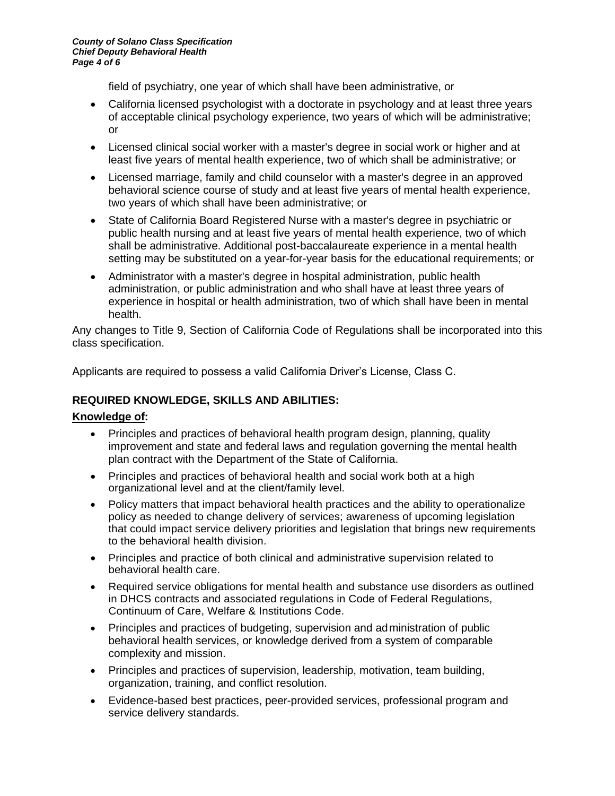field of psychiatry, one year of which shall have been administrative, or

- California licensed psychologist with a doctorate in psychology and at least three years of acceptable clinical psychology experience, two years of which will be administrative; or
- Licensed clinical social worker with a master's degree in social work or higher and at least five years of mental health experience, two of which shall be administrative; or
- Licensed marriage, family and child counselor with a master's degree in an approved behavioral science course of study and at least five years of mental health experience, two years of which shall have been administrative; or
- State of California Board Registered Nurse with a master's degree in psychiatric or public health nursing and at least five years of mental health experience, two of which shall be administrative. Additional post-baccalaureate experience in a mental health setting may be substituted on a year-for-year basis for the educational requirements; or
- Administrator with a master's degree in hospital administration, public health administration, or public administration and who shall have at least three years of experience in hospital or health administration, two of which shall have been in mental health.

Any changes to Title 9, Section of California Code of Regulations shall be incorporated into this class specification.

Applicants are required to possess a valid California Driver's License, Class C.

## **REQUIRED KNOWLEDGE, SKILLS AND ABILITIES:**

#### **Knowledge of:**

- Principles and practices of behavioral health program design, planning, quality improvement and state and federal laws and regulation governing the mental health plan contract with the Department of the State of California.
- Principles and practices of behavioral health and social work both at a high organizational level and at the client/family level.
- Policy matters that impact behavioral health practices and the ability to operationalize policy as needed to change delivery of services; awareness of upcoming legislation that could impact service delivery priorities and legislation that brings new requirements to the behavioral health division.
- Principles and practice of both clinical and administrative supervision related to behavioral health care.
- Required service obligations for mental health and substance use disorders as outlined in DHCS contracts and associated regulations in Code of Federal Regulations, Continuum of Care, Welfare & Institutions Code.
- Principles and practices of budgeting, supervision and administration of public behavioral health services, or knowledge derived from a system of comparable complexity and mission.
- Principles and practices of supervision, leadership, motivation, team building, organization, training, and conflict resolution.
- Evidence-based best practices, peer-provided services, professional program and service delivery standards.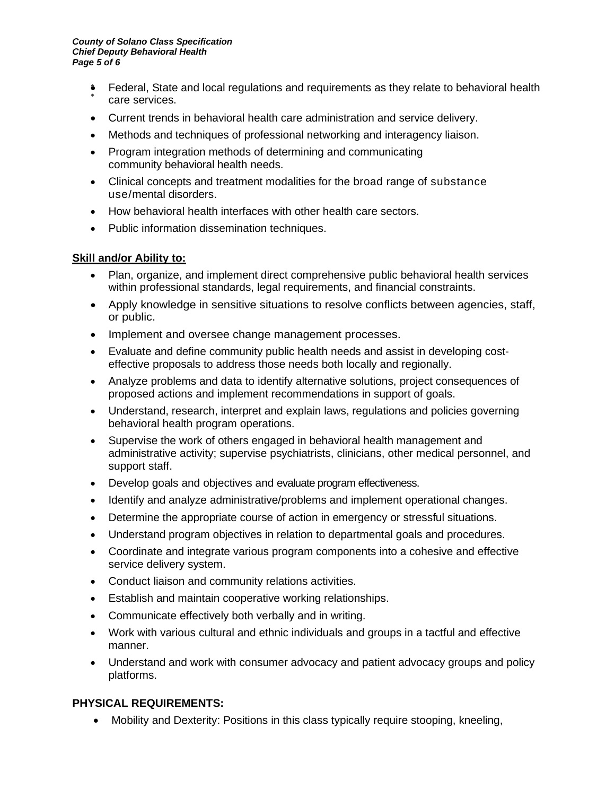- Federal, State and local regulations and requirements as they relate to behavioral health care services.
- Current trends in behavioral health care administration and service delivery.
- Methods and techniques of professional networking and interagency liaison.
- Program integration methods of determining and communicating community behavioral health needs.
- Clinical concepts and treatment modalities for the broad range of substance use/mental disorders.
- How behavioral health interfaces with other health care sectors.
- Public information dissemination techniques.

#### **Skill and/or Ability to:**

- Plan, organize, and implement direct comprehensive public behavioral health services within professional standards, legal requirements, and financial constraints.
- Apply knowledge in sensitive situations to resolve conflicts between agencies, staff, or public.
- Implement and oversee change management processes.
- Evaluate and define community public health needs and assist in developing costeffective proposals to address those needs both locally and regionally.
- Analyze problems and data to identify alternative solutions, project consequences of proposed actions and implement recommendations in support of goals.
- Understand, research, interpret and explain laws, regulations and policies governing behavioral health program operations.
- Supervise the work of others engaged in behavioral health management and administrative activity; supervise psychiatrists, clinicians, other medical personnel, and support staff.
- Develop goals and objectives and evaluate program effectiveness.
- Identify and analyze administrative/problems and implement operational changes.
- Determine the appropriate course of action in emergency or stressful situations.
- Understand program objectives in relation to departmental goals and procedures.
- Coordinate and integrate various program components into a cohesive and effective service delivery system.
- Conduct liaison and community relations activities.
- Establish and maintain cooperative working relationships.
- Communicate effectively both verbally and in writing.
- Work with various cultural and ethnic individuals and groups in a tactful and effective manner.
- Understand and work with consumer advocacy and patient advocacy groups and policy platforms.

## **PHYSICAL REQUIREMENTS:**

• Mobility and Dexterity: Positions in this class typically require stooping, kneeling,